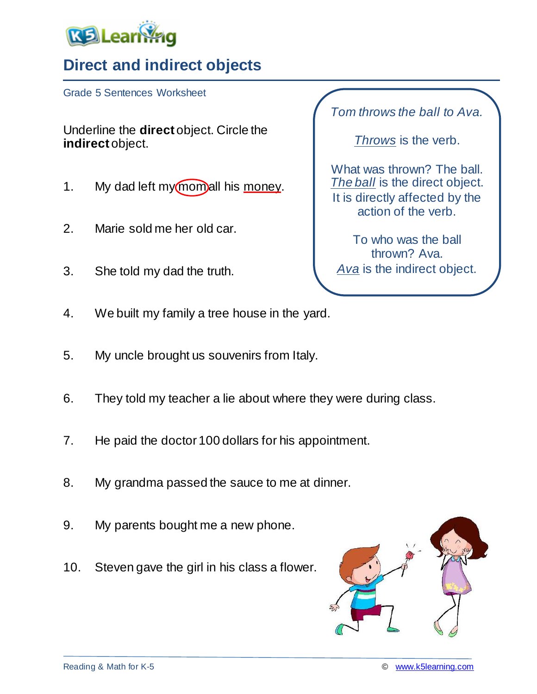

## **Direct and indirect objects**

Grade 5 Sentences Worksheet

Underline the **direct** object. Circle the **indirect** object.

- 1. My dad left my momall his money.
- 2. Marie sold me her old car.
- 3. She told my dad the truth.

*Tom throws the ball to Ava.*

*Throws* is the verb.

What was thrown? The ball. *The ball* is the direct object. It is directly affected by the action of the verb.

To who was the ball thrown? Ava. *Ava* is the indirect object.

- 4. We built my family a tree house in the yard.
- 5. My uncle brought us souvenirs from Italy.
- 6. They told my teacher a lie about where they were during class.
- 7. He paid the doctor 100 dollars for his appointment.
- 8. My grandma passed the sauce to me at dinner.
- 9. My parents bought me a new phone.
- 10. Steven gave the girl in his class a flower.